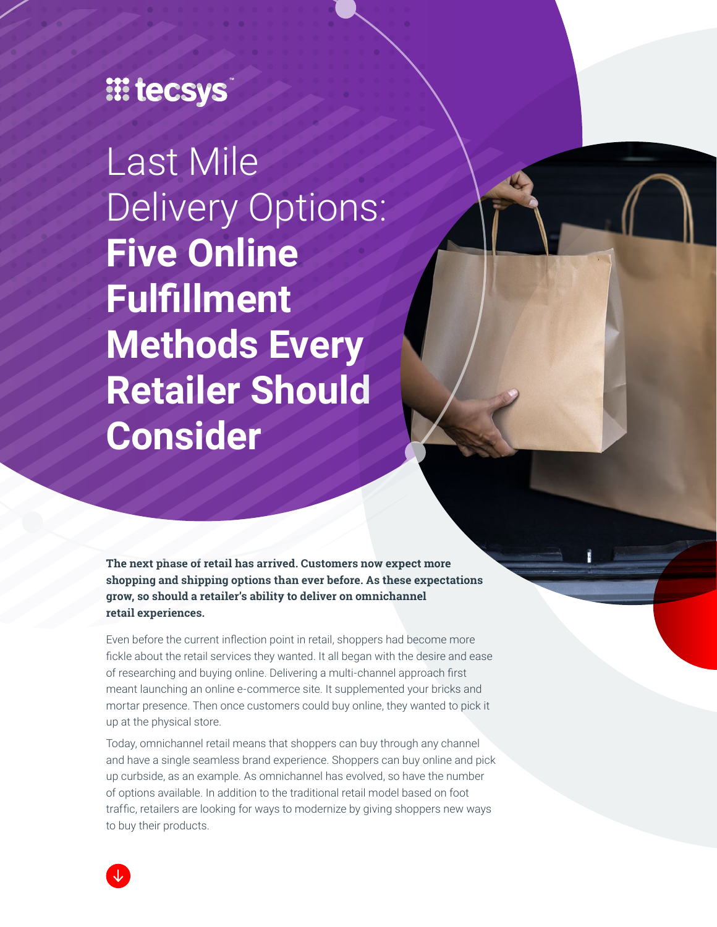## **III tecsys**

Last Mile Delivery Options: **Five Online Fulfillment Methods Every Retailer Should Consider**

**The next phase of retail has arrived. Customers now expect more shopping and shipping options than ever before. As these expectations grow, so should a retailer's ability to deliver on omnichannel retail experiences.**

Even before the current inflection point in retail, shoppers had become more fickle about the retail services they wanted. It all began with the desire and ease of researching and buying online. Delivering a multi-channel approach first meant launching an online e-commerce site. It supplemented your bricks and mortar presence. Then once customers could buy online, they wanted to pick it up at the physical store.

Today, omnichannel retail means that shoppers can buy through any channel and have a single seamless brand experience. Shoppers can buy online and pick up curbside, as an example. As omnichannel has evolved, so have the number of options available. In addition to the traditional retail model based on foot traffic, retailers are looking for ways to modernize by giving shoppers new ways to buy their products.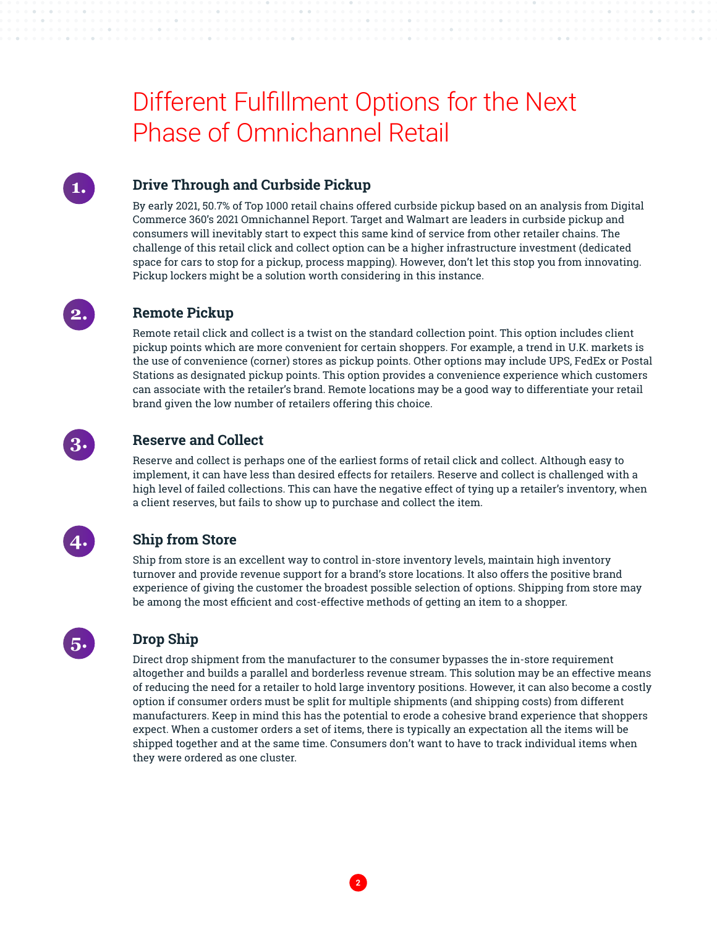### Different Fulfillment Options for the Next Phase of Omnichannel Retail



#### **Drive Through and Curbside Pickup**

By early 2021, 50.7% of Top 1000 retail chains offered curbside pickup based on an analysis from Digital Commerce 360's 2021 Omnichannel Report. Target and Walmart are leaders in curbside pickup and consumers will inevitably start to expect this same kind of service from other retailer chains. The challenge of this retail click and collect option can be a higher infrastructure investment (dedicated space for cars to stop for a pickup, process mapping). However, don't let this stop you from innovating. Pickup lockers might be a solution worth considering in this instance.



#### **Remote Pickup**

Remote retail click and collect is a twist on the standard collection point. This option includes client pickup points which are more convenient for certain shoppers. For example, a trend in U.K. markets is the use of convenience (corner) stores as pickup points. Other options may include UPS, FedEx or Postal Stations as designated pickup points. This option provides a convenience experience which customers can associate with the retailer's brand. Remote locations may be a good way to differentiate your retail brand given the low number of retailers offering this choice.



#### **Reserve and Collect**

Reserve and collect is perhaps one of the earliest forms of retail click and collect. Although easy to implement, it can have less than desired effects for retailers. Reserve and collect is challenged with a high level of failed collections. This can have the negative effect of tying up a retailer's inventory, when a client reserves, but fails to show up to purchase and collect the item.



#### **Ship from Store**

Ship from store is an excellent way to control in-store inventory levels, maintain high inventory turnover and provide revenue support for a brand's store locations. It also offers the positive brand experience of giving the customer the broadest possible selection of options. Shipping from store may be among the most efficient and cost-effective methods of getting an item to a shopper.



#### **Drop Ship**

Direct drop shipment from the manufacturer to the consumer bypasses the in-store requirement altogether and builds a parallel and borderless revenue stream. This solution may be an effective means of reducing the need for a retailer to hold large inventory positions. However, it can also become a costly option if consumer orders must be split for multiple shipments (and shipping costs) from different manufacturers. Keep in mind this has the potential to erode a cohesive brand experience that shoppers expect. When a customer orders a set of items, there is typically an expectation all the items will be shipped together and at the same time. Consumers don't want to have to track individual items when they were ordered as one cluster.